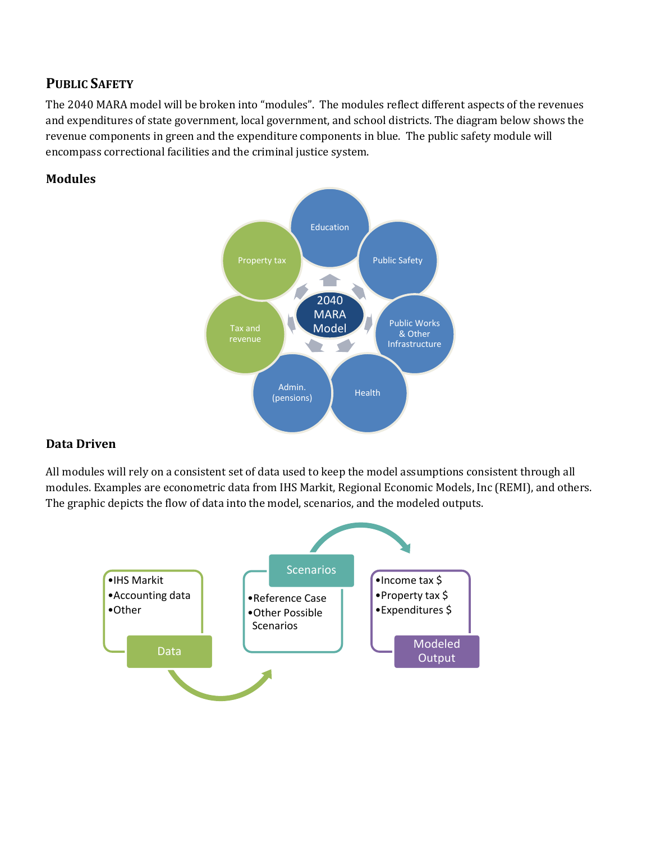## **PUBLIC SAFETY**

The 2040 MARA model will be broken into "modules". The modules reflect different aspects of the revenues and expenditures of state government, local government, and school districts. The diagram below shows the revenue components in green and the expenditure components in blue. The public safety module will encompass correctional facilities and the criminal justice system.

#### **Modules**



### **Data Driven**

All modules will rely on a consistent set of data used to keep the model assumptions consistent through all modules. Examples are econometric data from IHS Markit, Regional Economic Models, Inc (REMI), and others. The graphic depicts the flow of data into the model, scenarios, and the modeled outputs.